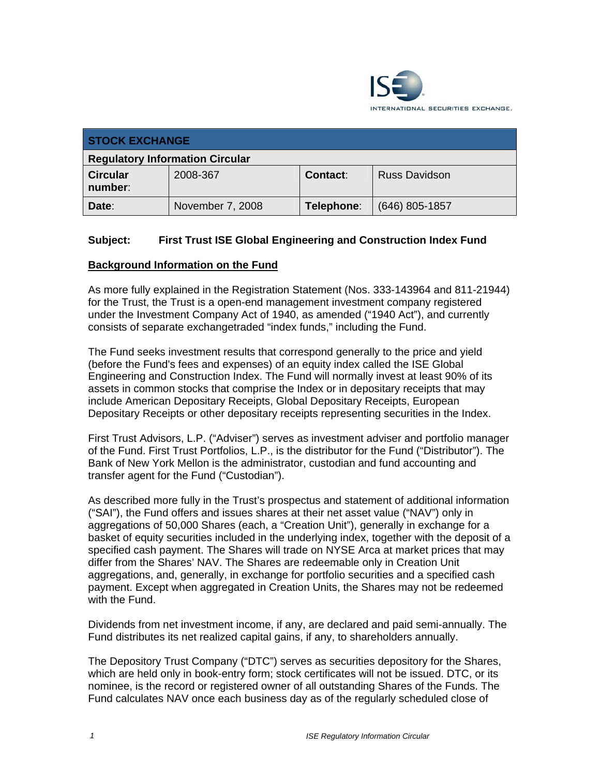

| <b>STOCK EXCHANGE</b>                  |                  |                 |                      |
|----------------------------------------|------------------|-----------------|----------------------|
| <b>Regulatory Information Circular</b> |                  |                 |                      |
| <b>Circular</b><br>number:             | 2008-367         | <b>Contact:</b> | <b>Russ Davidson</b> |
| Date:                                  | November 7, 2008 | Telephone:      | $(646)$ 805-1857     |

## **Subject: First Trust ISE Global Engineering and Construction Index Fund**

#### **Background Information on the Fund**

As more fully explained in the Registration Statement (Nos. 333-143964 and 811-21944) for the Trust, the Trust is a open-end management investment company registered under the Investment Company Act of 1940, as amended ("1940 Act"), and currently consists of separate exchangetraded "index funds," including the Fund.

The Fund seeks investment results that correspond generally to the price and yield (before the Fund's fees and expenses) of an equity index called the ISE Global Engineering and Construction Index. The Fund will normally invest at least 90% of its assets in common stocks that comprise the Index or in depositary receipts that may include American Depositary Receipts, Global Depositary Receipts, European Depositary Receipts or other depositary receipts representing securities in the Index.

First Trust Advisors, L.P. ("Adviser") serves as investment adviser and portfolio manager of the Fund. First Trust Portfolios, L.P., is the distributor for the Fund ("Distributor"). The Bank of New York Mellon is the administrator, custodian and fund accounting and transfer agent for the Fund ("Custodian").

As described more fully in the Trust's prospectus and statement of additional information ("SAI"), the Fund offers and issues shares at their net asset value ("NAV") only in aggregations of 50,000 Shares (each, a "Creation Unit"), generally in exchange for a basket of equity securities included in the underlying index, together with the deposit of a specified cash payment. The Shares will trade on NYSE Arca at market prices that may differ from the Shares' NAV. The Shares are redeemable only in Creation Unit aggregations, and, generally, in exchange for portfolio securities and a specified cash payment. Except when aggregated in Creation Units, the Shares may not be redeemed with the Fund.

Dividends from net investment income, if any, are declared and paid semi-annually. The Fund distributes its net realized capital gains, if any, to shareholders annually.

The Depository Trust Company ("DTC") serves as securities depository for the Shares, which are held only in book-entry form; stock certificates will not be issued. DTC, or its nominee, is the record or registered owner of all outstanding Shares of the Funds. The Fund calculates NAV once each business day as of the regularly scheduled close of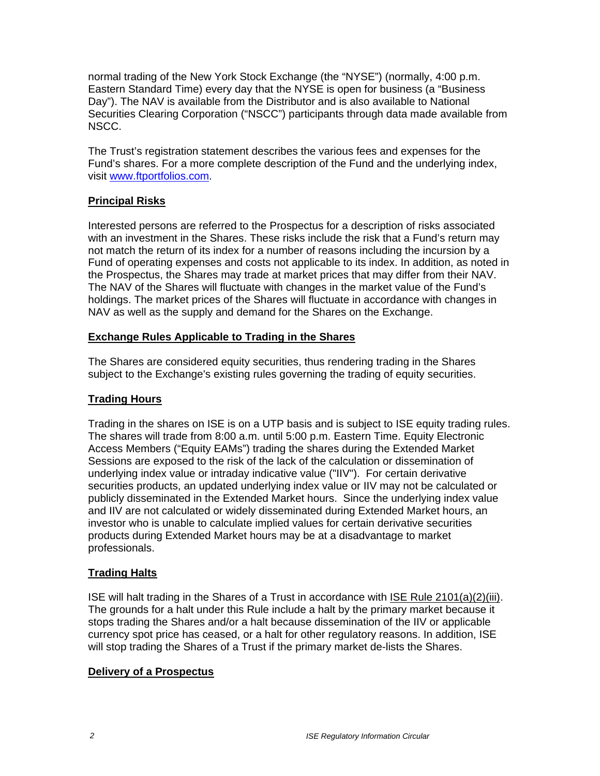normal trading of the New York Stock Exchange (the "NYSE") (normally, 4:00 p.m. Eastern Standard Time) every day that the NYSE is open for business (a "Business Day"). The NAV is available from the Distributor and is also available to National Securities Clearing Corporation ("NSCC") participants through data made available from NSCC.

The Trust's registration statement describes the various fees and expenses for the Fund's shares. For a more complete description of the Fund and the underlying index, visit www.ftportfolios.com.

# **Principal Risks**

Interested persons are referred to the Prospectus for a description of risks associated with an investment in the Shares. These risks include the risk that a Fund's return may not match the return of its index for a number of reasons including the incursion by a Fund of operating expenses and costs not applicable to its index. In addition, as noted in the Prospectus, the Shares may trade at market prices that may differ from their NAV. The NAV of the Shares will fluctuate with changes in the market value of the Fund's holdings. The market prices of the Shares will fluctuate in accordance with changes in NAV as well as the supply and demand for the Shares on the Exchange.

## **Exchange Rules Applicable to Trading in the Shares**

The Shares are considered equity securities, thus rendering trading in the Shares subject to the Exchange's existing rules governing the trading of equity securities.

# **Trading Hours**

Trading in the shares on ISE is on a UTP basis and is subject to ISE equity trading rules. The shares will trade from 8:00 a.m. until 5:00 p.m. Eastern Time. Equity Electronic Access Members ("Equity EAMs") trading the shares during the Extended Market Sessions are exposed to the risk of the lack of the calculation or dissemination of underlying index value or intraday indicative value ("IIV"). For certain derivative securities products, an updated underlying index value or IIV may not be calculated or publicly disseminated in the Extended Market hours. Since the underlying index value and IIV are not calculated or widely disseminated during Extended Market hours, an investor who is unable to calculate implied values for certain derivative securities products during Extended Market hours may be at a disadvantage to market professionals.

# **Trading Halts**

ISE will halt trading in the Shares of a Trust in accordance with ISE Rule 2101(a)(2)(iii). The grounds for a halt under this Rule include a halt by the primary market because it stops trading the Shares and/or a halt because dissemination of the IIV or applicable currency spot price has ceased, or a halt for other regulatory reasons. In addition, ISE will stop trading the Shares of a Trust if the primary market de-lists the Shares.

## **Delivery of a Prospectus**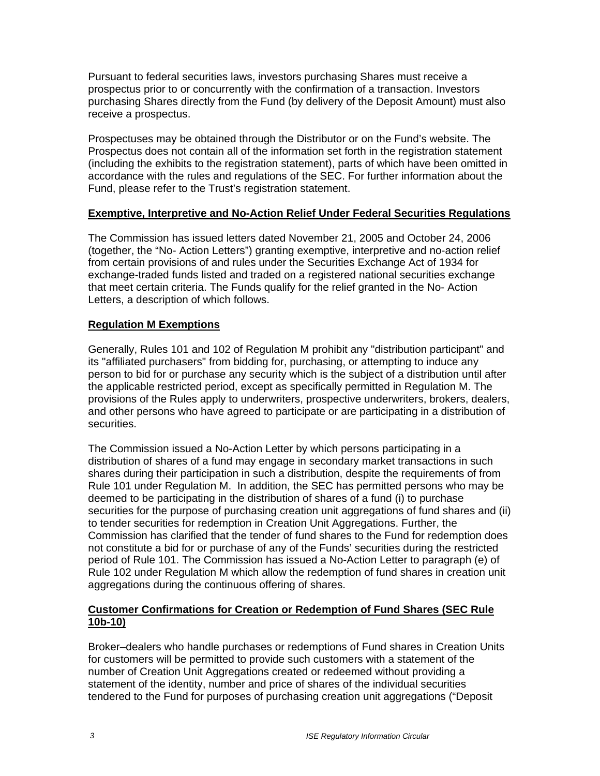Pursuant to federal securities laws, investors purchasing Shares must receive a prospectus prior to or concurrently with the confirmation of a transaction. Investors purchasing Shares directly from the Fund (by delivery of the Deposit Amount) must also receive a prospectus.

Prospectuses may be obtained through the Distributor or on the Fund's website. The Prospectus does not contain all of the information set forth in the registration statement (including the exhibits to the registration statement), parts of which have been omitted in accordance with the rules and regulations of the SEC. For further information about the Fund, please refer to the Trust's registration statement.

## **Exemptive, Interpretive and No-Action Relief Under Federal Securities Regulations**

The Commission has issued letters dated November 21, 2005 and October 24, 2006 (together, the "No- Action Letters") granting exemptive, interpretive and no-action relief from certain provisions of and rules under the Securities Exchange Act of 1934 for exchange-traded funds listed and traded on a registered national securities exchange that meet certain criteria. The Funds qualify for the relief granted in the No- Action Letters, a description of which follows.

#### **Regulation M Exemptions**

Generally, Rules 101 and 102 of Regulation M prohibit any "distribution participant" and its "affiliated purchasers" from bidding for, purchasing, or attempting to induce any person to bid for or purchase any security which is the subject of a distribution until after the applicable restricted period, except as specifically permitted in Regulation M. The provisions of the Rules apply to underwriters, prospective underwriters, brokers, dealers, and other persons who have agreed to participate or are participating in a distribution of securities.

The Commission issued a No-Action Letter by which persons participating in a distribution of shares of a fund may engage in secondary market transactions in such shares during their participation in such a distribution, despite the requirements of from Rule 101 under Regulation M. In addition, the SEC has permitted persons who may be deemed to be participating in the distribution of shares of a fund (i) to purchase securities for the purpose of purchasing creation unit aggregations of fund shares and (ii) to tender securities for redemption in Creation Unit Aggregations. Further, the Commission has clarified that the tender of fund shares to the Fund for redemption does not constitute a bid for or purchase of any of the Funds' securities during the restricted period of Rule 101. The Commission has issued a No-Action Letter to paragraph (e) of Rule 102 under Regulation M which allow the redemption of fund shares in creation unit aggregations during the continuous offering of shares.

## **Customer Confirmations for Creation or Redemption of Fund Shares (SEC Rule 10b-10)**

Broker–dealers who handle purchases or redemptions of Fund shares in Creation Units for customers will be permitted to provide such customers with a statement of the number of Creation Unit Aggregations created or redeemed without providing a statement of the identity, number and price of shares of the individual securities tendered to the Fund for purposes of purchasing creation unit aggregations ("Deposit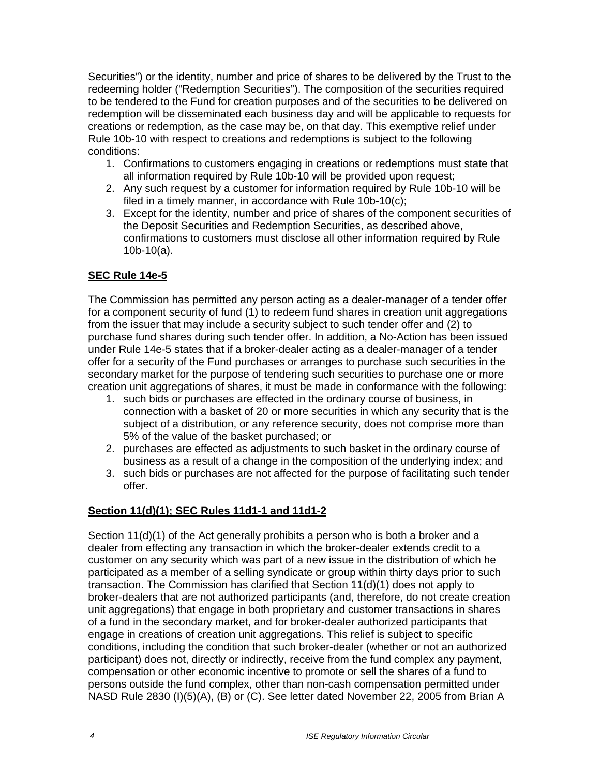Securities") or the identity, number and price of shares to be delivered by the Trust to the redeeming holder ("Redemption Securities"). The composition of the securities required to be tendered to the Fund for creation purposes and of the securities to be delivered on redemption will be disseminated each business day and will be applicable to requests for creations or redemption, as the case may be, on that day. This exemptive relief under Rule 10b-10 with respect to creations and redemptions is subject to the following conditions:

- 1. Confirmations to customers engaging in creations or redemptions must state that all information required by Rule 10b-10 will be provided upon request;
- 2. Any such request by a customer for information required by Rule 10b-10 will be filed in a timely manner, in accordance with Rule 10b-10(c);
- 3. Except for the identity, number and price of shares of the component securities of the Deposit Securities and Redemption Securities, as described above, confirmations to customers must disclose all other information required by Rule 10b-10(a).

## **SEC Rule 14e-5**

The Commission has permitted any person acting as a dealer-manager of a tender offer for a component security of fund (1) to redeem fund shares in creation unit aggregations from the issuer that may include a security subject to such tender offer and (2) to purchase fund shares during such tender offer. In addition, a No-Action has been issued under Rule 14e-5 states that if a broker-dealer acting as a dealer-manager of a tender offer for a security of the Fund purchases or arranges to purchase such securities in the secondary market for the purpose of tendering such securities to purchase one or more creation unit aggregations of shares, it must be made in conformance with the following:

- 1. such bids or purchases are effected in the ordinary course of business, in connection with a basket of 20 or more securities in which any security that is the subject of a distribution, or any reference security, does not comprise more than 5% of the value of the basket purchased; or
- 2. purchases are effected as adjustments to such basket in the ordinary course of business as a result of a change in the composition of the underlying index; and
- 3. such bids or purchases are not affected for the purpose of facilitating such tender offer.

## **Section 11(d)(1); SEC Rules 11d1-1 and 11d1-2**

Section 11(d)(1) of the Act generally prohibits a person who is both a broker and a dealer from effecting any transaction in which the broker-dealer extends credit to a customer on any security which was part of a new issue in the distribution of which he participated as a member of a selling syndicate or group within thirty days prior to such transaction. The Commission has clarified that Section 11(d)(1) does not apply to broker-dealers that are not authorized participants (and, therefore, do not create creation unit aggregations) that engage in both proprietary and customer transactions in shares of a fund in the secondary market, and for broker-dealer authorized participants that engage in creations of creation unit aggregations. This relief is subject to specific conditions, including the condition that such broker-dealer (whether or not an authorized participant) does not, directly or indirectly, receive from the fund complex any payment, compensation or other economic incentive to promote or sell the shares of a fund to persons outside the fund complex, other than non-cash compensation permitted under NASD Rule 2830 (I)(5)(A), (B) or (C). See letter dated November 22, 2005 from Brian A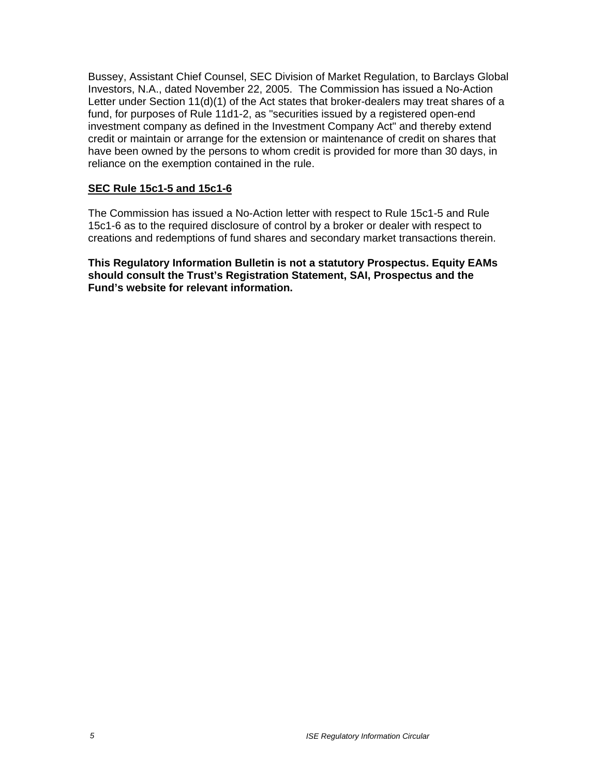Bussey, Assistant Chief Counsel, SEC Division of Market Regulation, to Barclays Global Investors, N.A., dated November 22, 2005. The Commission has issued a No-Action Letter under Section 11(d)(1) of the Act states that broker-dealers may treat shares of a fund, for purposes of Rule 11d1-2, as "securities issued by a registered open-end investment company as defined in the Investment Company Act" and thereby extend credit or maintain or arrange for the extension or maintenance of credit on shares that have been owned by the persons to whom credit is provided for more than 30 days, in reliance on the exemption contained in the rule.

## **SEC Rule 15c1-5 and 15c1-6**

The Commission has issued a No-Action letter with respect to Rule 15c1-5 and Rule 15c1-6 as to the required disclosure of control by a broker or dealer with respect to creations and redemptions of fund shares and secondary market transactions therein.

**This Regulatory Information Bulletin is not a statutory Prospectus. Equity EAMs should consult the Trust's Registration Statement, SAI, Prospectus and the Fund's website for relevant information.**